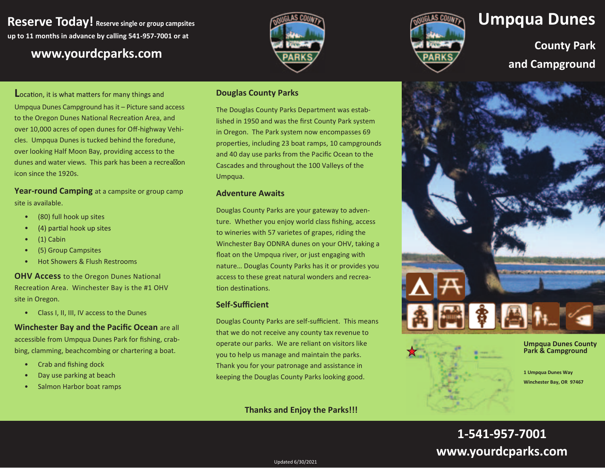**Reserve Today! Reserve single or group campsites up to 11 months in advance by calling 541-957-7001 or at**

## **www.yourdcparks.com**





# **Umpqua Dunes**

**County Park** and Campground

**L** Umpqua Dunes Campground has it – Picture sand access to the Oregon Dunes National Recreation Area, and over 10,000 acres of open dunes for Off-highway Vehicles. Umpqua Dunes is tucked behind the foredune, over looking Half Moon Bay, providing access to the dunes and water views. This park has been a recrea $\boxtimes$ on icon since the 1920s.

**Year-round Camping** at a campsite or group camp site is available.

- •(80) full hook up sites
- (4) partial hook up sites •
- •(1) Cabin
- •(5) Group Campsites
- •Hot Showers & Flush Restrooms

**OHV Access** to the Oregon Dunes National Recreation Area. Winchester Bay is the #1 OHV site in Oregon.

• Class I, II, III, IV access to the Dunes

### **Winchester Bay and the Pacific Ocean are all**

accessible from Umpqua Dunes Park for fishing, crabbing, clamming, beachcombing or chartering a boat.

- •Crab and fishing dock
- •Day use parking at beach
- •Salmon Harbor boat ramps

#### **Douglas County Parks**

The Douglas County Parks Department was established in 1950 and was the first County Park system in Oregon. The Park system now encompasses 69 properties, including 23 boat ramps, 10 campgrounds and 40 day use parks from the Pacific Ocean to the Cascades and throughout the 100 Valleys of the Umpqua.

#### **Adventure Awaits**

Douglas County Parks are your gateway to adventure. Whether you enjoy world class fishing, access to wineries with 57 varietes of grapes, riding the Winchester Bay ODNRA dunes on your OHV, taking a float on the Umpqua river, or just engaging with nature… Douglas County Parks has it or provides you access to these great natural wonders and recreation destinations.

#### **Self-Sufficient**

Douglas County Parks are self-sufficient. This means that we do not receive any county tax revenue to operate our parks. We are reliant on visitors like you to help us manage and maintain the parks. Thank you for your patronage and assistance in keeping the Douglas County Parks looking good.

### **Thanks and Enjoy the Parks!!!**



Updated 6/30/2021

**Umpqua Dunes County Park & Campground** 

**1 Umpqua Dunes Way** 

**Winchester Bay, OR 97467**